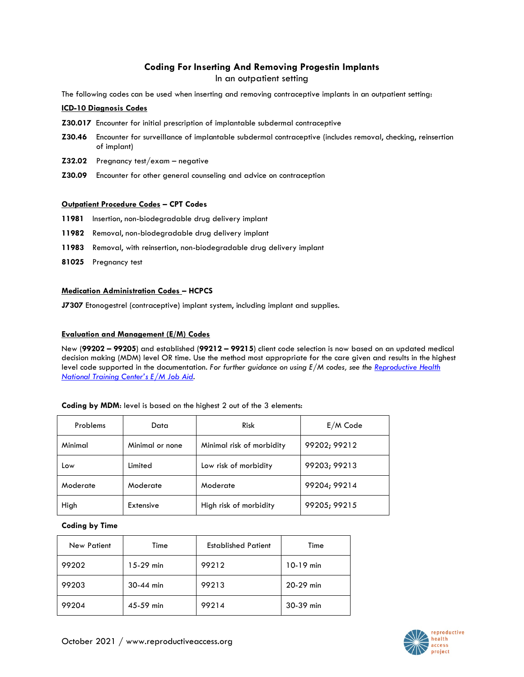# **Coding For Inserting And Removing Progestin Implants**

In an outpatient setting

The following codes can be used when inserting and removing contraceptive implants in an outpatient setting:

### **ICD-10 Diagnosis Codes**

- **Z30.017** Encounter for initial prescription of implantable subdermal contraceptive
- **Z30.46** Encounter for surveillance of implantable subdermal contraceptive (includes removal, checking, reinsertion of implant)
- **Z32.02** Pregnancy test/exam negative
- **Z30.09** Encounter for other general counseling and advice on contraception

#### **Outpatient Procedure Codes – CPT Codes**

- **11981** Insertion, non-biodegradable drug delivery implant
- **11982** Removal, non-biodegradable drug delivery implant
- **11983** Removal, with reinsertion, non-biodegradable drug delivery implant
- **81025** Pregnancy test

### **Medication Administration Codes – HCPCS**

**J7307** Etonogestrel (contraceptive) implant system, including implant and supplies.

### **Evaluation and Management (E/M) Codes**

New (**99202 – 99205**) and established (**99212 – 99215**) client code selection is now based on an updated medical decision making (MDM) level OR time. Use the method most appropriate for the care given and results in the highest level code supported in the documentation. *For further guidance on using E/M codes, see the [Reproductive Health](https://rhntc.org/resources/evaluation-and-management-codes-job-aid)  [National Training Center's E/M Job Aid](https://rhntc.org/resources/evaluation-and-management-codes-job-aid).*

| Problems | Data            | <b>Risk</b>               | $E/M$ Code   |
|----------|-----------------|---------------------------|--------------|
| Minimal  | Minimal or none | Minimal risk of morbidity | 99202; 99212 |
| Low      | Limited         | Low risk of morbidity     | 99203; 99213 |
| Moderate | Moderate        | Moderate                  | 99204; 99214 |
| High     | Extensive       | High risk of morbidity    | 99205; 99215 |

#### **Coding by MDM**: level is based on the highest 2 out of the 3 elements:

#### **Coding by Time**

| <b>New Patient</b> | Time      | <b>Established Patient</b> | Time        |
|--------------------|-----------|----------------------------|-------------|
| 99202              | 15-29 min | 99212                      | $10-19$ min |
| 99203              | 30-44 min | 99213                      | 20-29 min   |
| 99204              | 45-59 min | 99214                      | 30-39 min   |